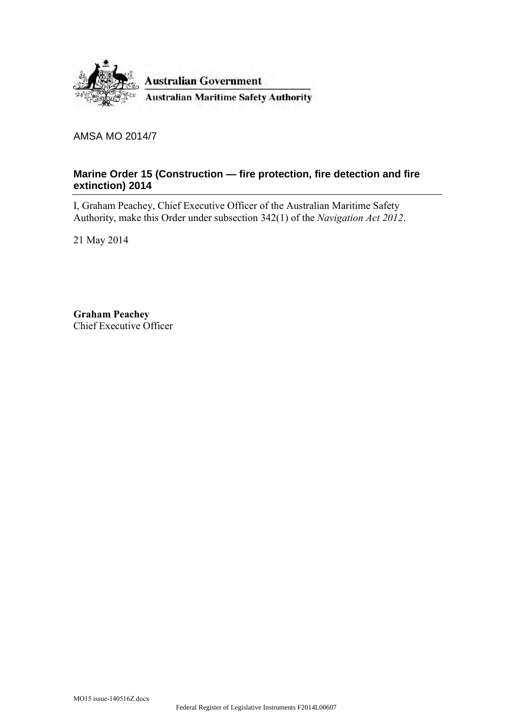

AMSA MO 2014/7

### **Marine Order 15 (Construction — fire protection, fire detection and fire extinction) 2014**

I, Graham Peachey, Chief Executive Officer of the Australian Maritime Safety Authority, make this Order under subsection 342(1) of the *Navigation Act 2012*.

21 May 2014

**Graham Peachey** Chief Executive Officer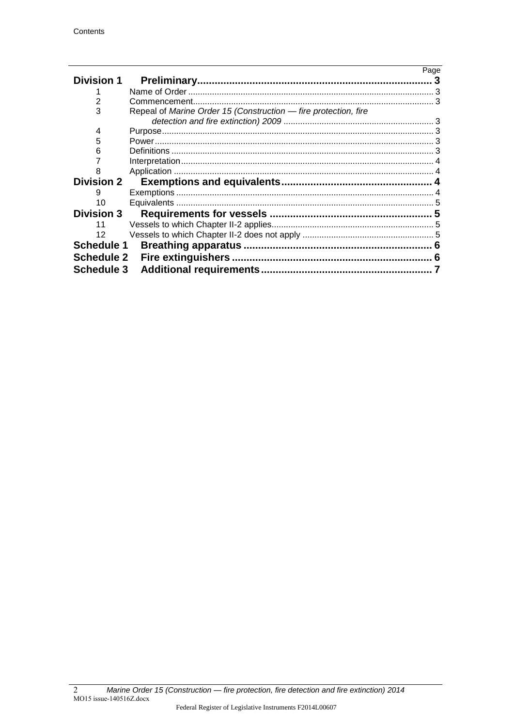|                   |                                                                 | Page |
|-------------------|-----------------------------------------------------------------|------|
| <b>Division 1</b> |                                                                 |      |
|                   |                                                                 |      |
| $\overline{2}$    |                                                                 |      |
| 3                 | Repeal of Marine Order 15 (Construction - fire protection, fire |      |
|                   |                                                                 |      |
| 4                 |                                                                 |      |
| 5                 |                                                                 |      |
| 6                 |                                                                 |      |
|                   |                                                                 |      |
| 8                 |                                                                 |      |
| <b>Division 2</b> |                                                                 |      |
| 9                 |                                                                 |      |
| 10                |                                                                 |      |
| <b>Division 3</b> |                                                                 |      |
| 11                |                                                                 |      |
| 12                |                                                                 |      |
| <b>Schedule 1</b> |                                                                 |      |
| <b>Schedule 2</b> |                                                                 |      |
| <b>Schedule 3</b> |                                                                 |      |
|                   |                                                                 |      |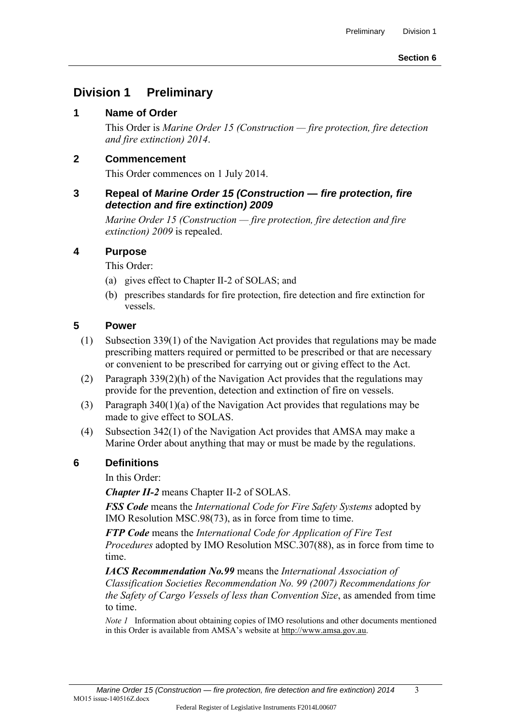## **Division 1 Preliminary**

#### **1 Name of Order**

 This Order is *Marine Order 15 (Construction — fire protection, fire detection and fire extinction) 2014*.

#### **2 Commencement**

This Order commences on 1 July 2014.

#### **3 Repeal of** *Marine Order 15 (Construction — fire protection, fire detection and fire extinction) 2009*

 *Marine Order 15 (Construction — fire protection, fire detection and fire extinction) 2009* is repealed.

#### **4 Purpose**

This Order:

- (a) gives effect to Chapter II-2 of SOLAS; and
- (b) prescribes standards for fire protection, fire detection and fire extinction for vessels.

#### **5 Power**

- (1) Subsection 339(1) of the Navigation Act provides that regulations may be made prescribing matters required or permitted to be prescribed or that are necessary or convenient to be prescribed for carrying out or giving effect to the Act.
- (2) Paragraph 339(2)(h) of the Navigation Act provides that the regulations may provide for the prevention, detection and extinction of fire on vessels.
- (3) Paragraph 340(1)(a) of the Navigation Act provides that regulations may be made to give effect to SOLAS.
- (4) Subsection 342(1) of the Navigation Act provides that AMSA may make a Marine Order about anything that may or must be made by the regulations.

#### **6 Definitions**

In this Order:

*Chapter II-2* means Chapter II-2 of SOLAS.

*FSS Code* means the *International Code for Fire Safety Systems* adopted by IMO Resolution MSC.98(73), as in force from time to time.

*FTP Code* means the *International Code for Application of Fire Test Procedures* adopted by IMO Resolution MSC.307(88), as in force from time to time.

*IACS Recommendation No.99* means the *International Association of Classification Societies Recommendation No. 99 (2007) Recommendations for the Safety of Cargo Vessels of less than Convention Size*, as amended from time to time.

*Note 1* Information about obtaining copies of IMO resolutions and other documents mentioned in this Order is available from AMSA's website at http://www.amsa.gov.au.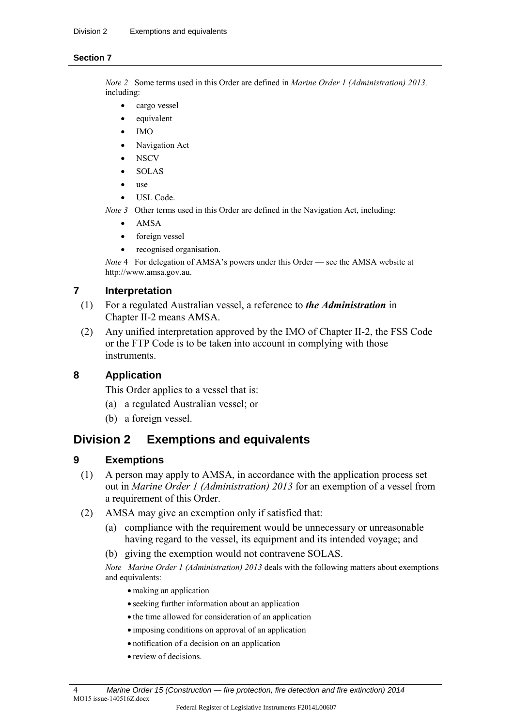#### **Section 7**

*Note 2* Some terms used in this Order are defined in *Marine Order 1 (Administration) 2013,* including:

- cargo vessel
- equivalent
- IMO
- Navigation Act
- **NSCV**
- SOLAS
- use
- USL Code.
- *Note 3* Other terms used in this Order are defined in the Navigation Act, including:
	- AMSA
	- foreign vessel
	- recognised organisation.

*Note* 4 For delegation of AMSA's powers under this Order — see the AMSA website at http://www.amsa.gov.au.

#### **7 Interpretation**

- (1) For a regulated Australian vessel, a reference to *the Administration* in Chapter II-2 means AMSA.
- (2) Any unified interpretation approved by the IMO of Chapter II-2, the FSS Code or the FTP Code is to be taken into account in complying with those instruments.

### **8 Application**

This Order applies to a vessel that is:

- (a) a regulated Australian vessel; or
- (b) a foreign vessel.

## **Division 2 Exemptions and equivalents**

#### **9 Exemptions**

- (1) A person may apply to AMSA, in accordance with the application process set out in *Marine Order 1 (Administration) 2013* for an exemption of a vessel from a requirement of this Order.
- (2) AMSA may give an exemption only if satisfied that:
	- (a) compliance with the requirement would be unnecessary or unreasonable having regard to the vessel, its equipment and its intended voyage; and
	- (b) giving the exemption would not contravene SOLAS.

*Note Marine Order 1 (Administration) 2013* deals with the following matters about exemptions and equivalents:

- making an application
- seeking further information about an application
- the time allowed for consideration of an application
- imposing conditions on approval of an application
- notification of a decision on an application
- review of decisions.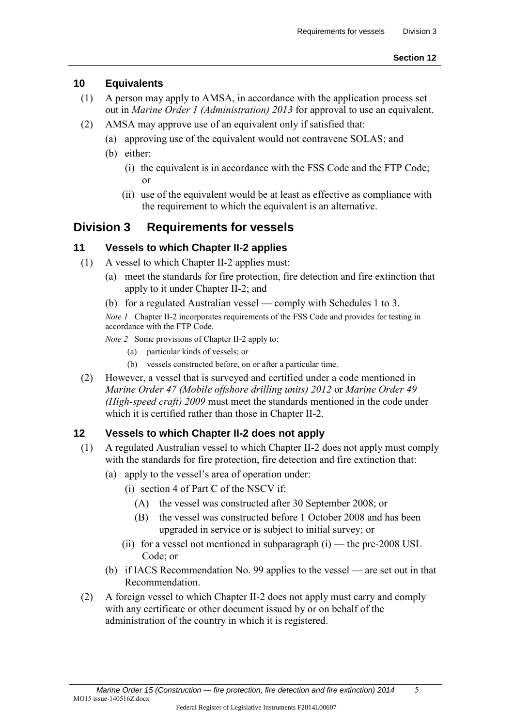#### **10 Equivalents**

- (1) A person may apply to AMSA, in accordance with the application process set out in *Marine Order 1 (Administration) 2013* for approval to use an equivalent.
- (2) AMSA may approve use of an equivalent only if satisfied that:
	- (a) approving use of the equivalent would not contravene SOLAS; and
	- (b) either:
		- (i) the equivalent is in accordance with the FSS Code and the FTP Code; or
		- (ii) use of the equivalent would be at least as effective as compliance with the requirement to which the equivalent is an alternative.

## **Division 3 Requirements for vessels**

### **11 Vessels to which Chapter II-2 applies**

- (1) A vessel to which Chapter II-2 applies must:
	- (a) meet the standards for fire protection, fire detection and fire extinction that apply to it under Chapter II-2; and
	- (b) for a regulated Australian vessel comply with Schedules 1 to 3.

*Note 1* Chapter II-2 incorporates requirements of the FSS Code and provides for testing in accordance with the FTP Code.

*Note 2* Some provisions of Chapter II-2 apply to:

- (a) particular kinds of vessels; or
- (b) vessels constructed before, on or after a particular time.
- (2) However, a vessel that is surveyed and certified under a code mentioned in *Marine Order 47 (Mobile offshore drilling units) 2012* or *Marine Order 49 (High-speed craft) 2009* must meet the standards mentioned in the code under which it is certified rather than those in Chapter II-2.

## **12 Vessels to which Chapter II-2 does not apply**

- (1) A regulated Australian vessel to which Chapter II-2 does not apply must comply with the standards for fire protection, fire detection and fire extinction that:
	- (a) apply to the vessel's area of operation under:
		- (i) section 4 of Part C of the NSCV if:
			- (A) the vessel was constructed after 30 September 2008; or
			- (B) the vessel was constructed before 1 October 2008 and has been upgraded in service or is subject to initial survey; or
		- (ii) for a vessel not mentioned in subparagraph  $(i)$  the pre-2008 USL Code; or
	- (b) if IACS Recommendation No. 99 applies to the vessel are set out in that Recommendation.
- (2) A foreign vessel to which Chapter II-2 does not apply must carry and comply with any certificate or other document issued by or on behalf of the administration of the country in which it is registered.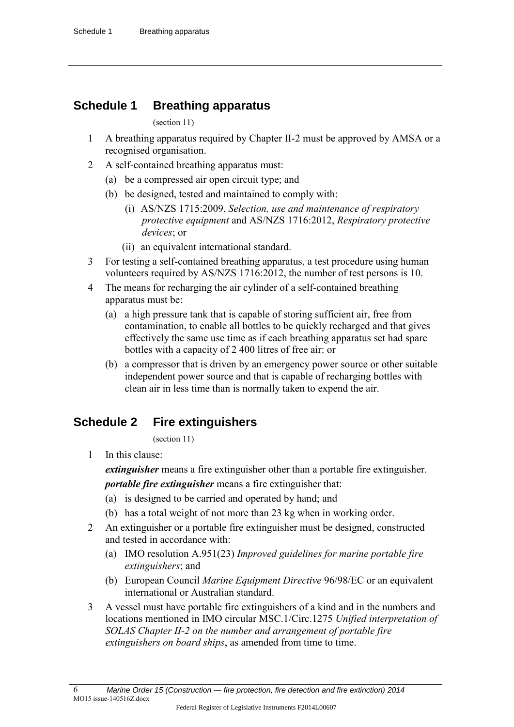## **Schedule 1 Breathing apparatus**

(section 11)

- 1 A breathing apparatus required by Chapter II-2 must be approved by AMSA or a recognised organisation.
- 2 A self-contained breathing apparatus must:
	- (a) be a compressed air open circuit type; and
	- (b) be designed, tested and maintained to comply with:
		- (i) AS/NZS 1715:2009, *Selection, use and maintenance of respiratory protective equipment* and AS/NZS 1716:2012, *Respiratory protective devices*; or
		- (ii) an equivalent international standard.
- 3 For testing a self-contained breathing apparatus, a test procedure using human volunteers required by AS/NZS 1716:2012, the number of test persons is 10.
- 4 The means for recharging the air cylinder of a self-contained breathing apparatus must be:
	- (a) a high pressure tank that is capable of storing sufficient air, free from contamination, to enable all bottles to be quickly recharged and that gives effectively the same use time as if each breathing apparatus set had spare bottles with a capacity of 2 400 litres of free air: or
	- (b) a compressor that is driven by an emergency power source or other suitable independent power source and that is capable of recharging bottles with clean air in less time than is normally taken to expend the air.

# **Schedule 2 Fire extinguishers**

(section 11)

1 In this clause:

*extinguisher* means a fire extinguisher other than a portable fire extinguisher.

*portable fire extinguisher* means a fire extinguisher that:

- (a) is designed to be carried and operated by hand; and
- (b) has a total weight of not more than 23 kg when in working order.
- 2 An extinguisher or a portable fire extinguisher must be designed, constructed and tested in accordance with:
	- (a) IMO resolution A.951(23) *Improved guidelines for marine portable fire extinguishers*; and
	- (b) European Council *Marine Equipment Directive* 96/98/EC or an equivalent international or Australian standard.
- 3 A vessel must have portable fire extinguishers of a kind and in the numbers and locations mentioned in IMO circular MSC.1/Circ.1275 *Unified interpretation of SOLAS Chapter II-2 on the number and arrangement of portable fire extinguishers on board ships*, as amended from time to time.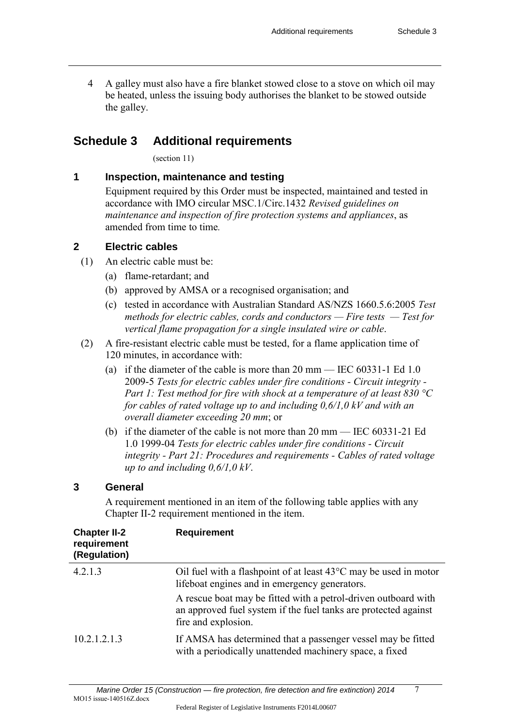4 A galley must also have a fire blanket stowed close to a stove on which oil may be heated, unless the issuing body authorises the blanket to be stowed outside the galley.

## **Schedule 3 Additional requirements**

(section 11)

#### **1 Inspection, maintenance and testing**

 Equipment required by this Order must be inspected, maintained and tested in accordance with IMO circular MSC.1/Circ.1432 *Revised guidelines on maintenance and inspection of fire protection systems and appliances*, as amended from time to time*.*

#### **2 Electric cables**

- (1) An electric cable must be:
	- (a) flame-retardant; and
	- (b) approved by AMSA or a recognised organisation; and
	- (c) tested in accordance with Australian Standard AS/NZS 1660.5.6:2005 *Test methods for electric cables, cords and conductors — Fire tests — Test for vertical flame propagation for a single insulated wire or cable*.
- (2) A fire-resistant electric cable must be tested, for a flame application time of 120 minutes, in accordance with:
	- (a) if the diameter of the cable is more than 20 mm IEC 60331-1 Ed 1.0 2009-5 *Tests for electric cables under fire conditions - Circuit integrity - Part 1: Test method for fire with shock at a temperature of at least 830 °C for cables of rated voltage up to and including 0,6/1,0 kV and with an overall diameter exceeding 20 mm*; or
	- (b) if the diameter of the cable is not more than 20 mm [IEC 60331-21 Ed](javascript:doHTTPGetLayer()  [1.0 1999-04](javascript:doHTTPGetLayer() *Tests for electric cables under fire conditions - Circuit integrity - Part 21: Procedures and requirements - Cables of rated voltage up to and including 0,6/1,0 kV*.

#### **3 General**

 A requirement mentioned in an item of the following table applies with any Chapter II-2 requirement mentioned in the item.

| <b>Chapter II-2</b><br>requirement<br>(Regulation) | <b>Requirement</b>                                                                                                                                       |
|----------------------------------------------------|----------------------------------------------------------------------------------------------------------------------------------------------------------|
| 4.2.1.3                                            | Oil fuel with a flashpoint of at least 43°C may be used in motor<br>lifeboat engines and in emergency generators.                                        |
|                                                    | A rescue boat may be fitted with a petrol-driven outboard with<br>an approved fuel system if the fuel tanks are protected against<br>fire and explosion. |
| 10.2.1.2.1.3                                       | If AMSA has determined that a passenger vessel may be fitted<br>with a periodically unattended machinery space, a fixed                                  |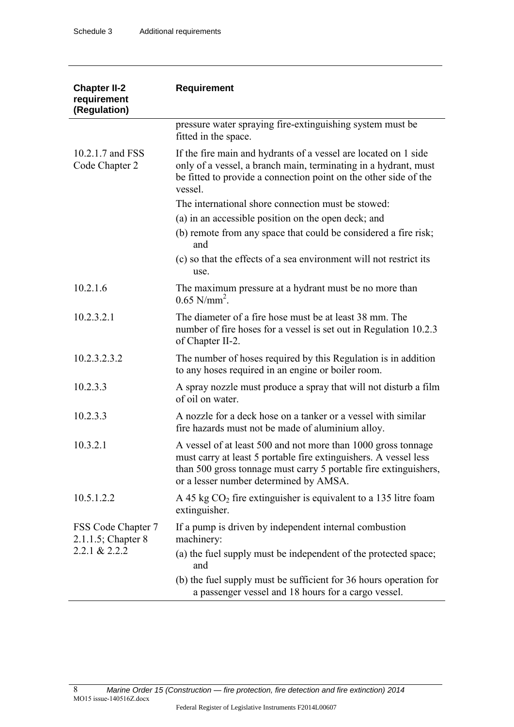| <b>Chapter II-2</b><br>requirement<br>(Regulation) | <b>Requirement</b>                                                                                                                                                                                                                              |  |
|----------------------------------------------------|-------------------------------------------------------------------------------------------------------------------------------------------------------------------------------------------------------------------------------------------------|--|
|                                                    | pressure water spraying fire-extinguishing system must be<br>fitted in the space.                                                                                                                                                               |  |
| 10.2.1.7 and FSS<br>Code Chapter 2                 | If the fire main and hydrants of a vessel are located on 1 side<br>only of a vessel, a branch main, terminating in a hydrant, must<br>be fitted to provide a connection point on the other side of the<br>vessel.                               |  |
|                                                    | The international shore connection must be stowed:                                                                                                                                                                                              |  |
|                                                    | (a) in an accessible position on the open deck; and                                                                                                                                                                                             |  |
|                                                    | (b) remote from any space that could be considered a fire risk;<br>and                                                                                                                                                                          |  |
|                                                    | (c) so that the effects of a sea environment will not restrict its<br>use.                                                                                                                                                                      |  |
| 10.2.1.6                                           | The maximum pressure at a hydrant must be no more than<br>$0.65$ N/mm <sup>2</sup> .                                                                                                                                                            |  |
| 10.2.3.2.1                                         | The diameter of a fire hose must be at least 38 mm. The<br>number of fire hoses for a vessel is set out in Regulation 10.2.3<br>of Chapter II-2.                                                                                                |  |
| 10.2.3.2.3.2                                       | The number of hoses required by this Regulation is in addition<br>to any hoses required in an engine or boiler room.                                                                                                                            |  |
| 10.2.3.3                                           | A spray nozzle must produce a spray that will not disturb a film<br>of oil on water.                                                                                                                                                            |  |
| 10.2.3.3                                           | A nozzle for a deck hose on a tanker or a vessel with similar<br>fire hazards must not be made of aluminium alloy.                                                                                                                              |  |
| 10.3.2.1                                           | A vessel of at least 500 and not more than 1000 gross tonnage<br>must carry at least 5 portable fire extinguishers. A vessel less<br>than 500 gross tonnage must carry 5 portable fire extinguishers,<br>or a lesser number determined by AMSA. |  |
| 10.5.1.2.2                                         | A 45 kg $CO2$ fire extinguisher is equivalent to a 135 litre foam<br>extinguisher.                                                                                                                                                              |  |
| FSS Code Chapter 7<br>$2.1.1.5$ ; Chapter 8        | If a pump is driven by independent internal combustion<br>machinery:                                                                                                                                                                            |  |
| 2.2.1 & 2.2.2                                      | (a) the fuel supply must be independent of the protected space;<br>and                                                                                                                                                                          |  |
|                                                    | (b) the fuel supply must be sufficient for 36 hours operation for<br>a passenger vessel and 18 hours for a cargo vessel.                                                                                                                        |  |